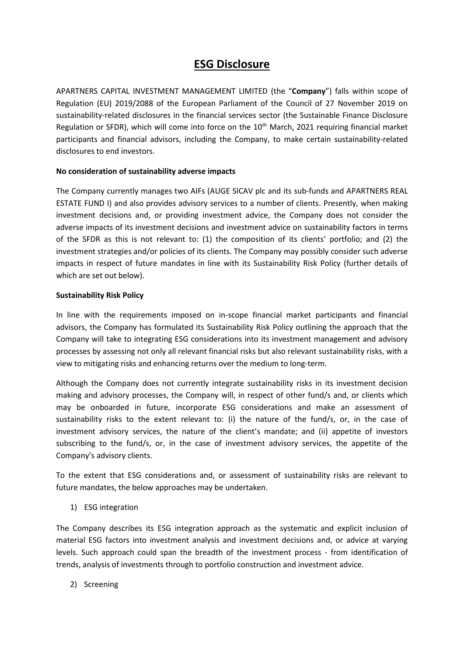## **ESG Disclosure**

APARTNERS CAPITAL INVESTMENT MANAGEMENT LIMITED (the "**Company**") falls within scope of Regulation (EU) 2019/2088 of the European Parliament of the Council of 27 November 2019 on sustainability-related disclosures in the financial services sector (the Sustainable Finance Disclosure Regulation or SFDR), which will come into force on the  $10<sup>th</sup>$  March, 2021 requiring financial market participants and financial advisors, including the Company, to make certain sustainability-related disclosures to end investors.

## **No consideration of sustainability adverse impacts**

The Company currently manages two AIFs (AUGE SICAV plc and its sub-funds and APARTNERS REAL ESTATE FUND I) and also provides advisory services to a number of clients. Presently, when making investment decisions and, or providing investment advice, the Company does not consider the adverse impacts of its investment decisions and investment advice on sustainability factors in terms of the SFDR as this is not relevant to: (1) the composition of its clients' portfolio; and (2) the investment strategies and/or policies of its clients. The Company may possibly consider such adverse impacts in respect of future mandates in line with its Sustainability Risk Policy (further details of which are set out below).

## **Sustainability Risk Policy**

In line with the requirements imposed on in-scope financial market participants and financial advisors, the Company has formulated its Sustainability Risk Policy outlining the approach that the Company will take to integrating ESG considerations into its investment management and advisory processes by assessing not only all relevant financial risks but also relevant sustainability risks, with a view to mitigating risks and enhancing returns over the medium to long-term.

Although the Company does not currently integrate sustainability risks in its investment decision making and advisory processes, the Company will, in respect of other fund/s and, or clients which may be onboarded in future, incorporate ESG considerations and make an assessment of sustainability risks to the extent relevant to: (i) the nature of the fund/s, or, in the case of investment advisory services, the nature of the client's mandate; and (ii) appetite of investors subscribing to the fund/s, or, in the case of investment advisory services, the appetite of the Company's advisory clients.

To the extent that ESG considerations and, or assessment of sustainability risks are relevant to future mandates, the below approaches may be undertaken.

1) ESG integration

The Company describes its ESG integration approach as the systematic and explicit inclusion of material ESG factors into investment analysis and investment decisions and, or advice at varying levels. Such approach could span the breadth of the investment process - from identification of trends, analysis of investments through to portfolio construction and investment advice.

2) Screening